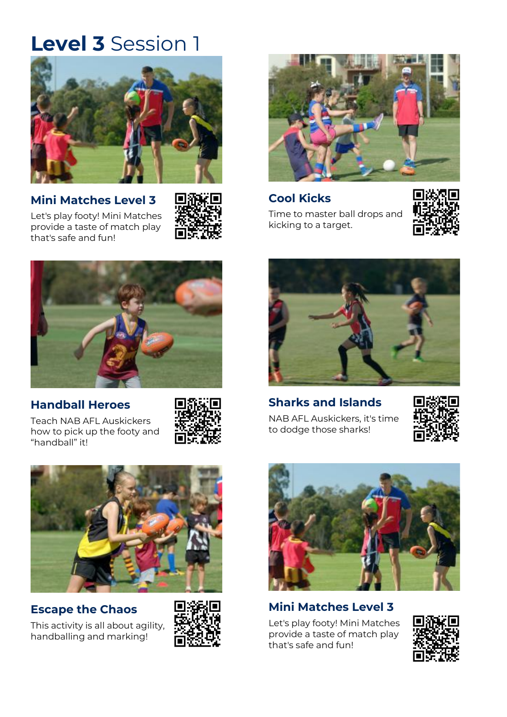

### **Mini [Matches Level 3](https://play.afl/auskick/activities/mini-matches-level-3?week=1&level=3)**

that's [safe and fun!](https://play.afl/auskick/activities/mini-matches-level-3?week=1&level=3)

[Let's play footy! Mini Matches](https://play.afl/auskick/activities/mini-matches-level-3?week=1&level=3)  provide a [taste of match play](https://play.afl/auskick/activities/mini-matches-level-3?week=1&level=3) 





#### **[Handball Heroes](https://play.afl/auskick/activities/handball-heroes?week=1&level=3)**

[Teach NAB AFL Auskickers](https://play.afl/auskick/activities/handball-heroes?week=1&level=3)  [how to pick up the footy and](https://play.afl/auskick/activities/handball-heroes?week=1&level=3)  ["handball" it!](https://play.afl/auskick/activities/handball-heroes?week=1&level=3)





#### **[Escape the Chaos](https://play.afl/auskick/activities/escape-chaos?week=1&level=3)**

[This activity is all about agility,](https://play.afl/auskick/activities/escape-chaos?week=1&level=3)  [handballing and marking!](https://play.afl/auskick/activities/escape-chaos?week=1&level=3)





**[Cool Kicks](https://play.afl/auskick/activities/cool-kicks?week=1&level=3)** [Time to master ball drops and](https://play.afl/auskick/activities/cool-kicks?week=1&level=3)  [kicking to a target.](https://play.afl/auskick/activities/cool-kicks?week=1&level=3)





#### **[Sharks and Islands](https://play.afl/auskick/activities/sharks-and-islands?week=1&level=3)**

[NAB AFL Auskickers, it's time](https://play.afl/auskick/activities/sharks-and-islands?week=1&level=3)  [to dodge those sharks!](https://play.afl/auskick/activities/sharks-and-islands?week=1&level=3)





### **[Mini Matches Level 3](https://play.afl/auskick/activities/mini-matches-level-3?week=1&level=3)**

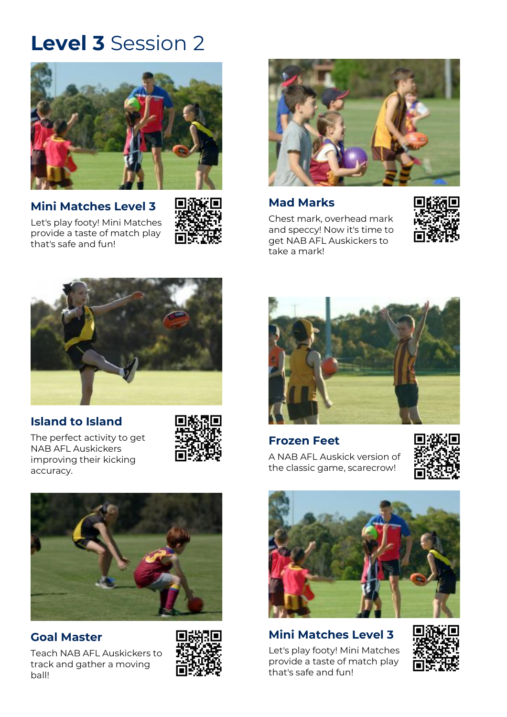

**[Mini Matches Level 3](https://play.afl/auskick/activities/mini-matches-level-3?week=2&level=3)** [Let's play footy! Mini Matches](https://play.afl/auskick/activities/mini-matches-level-3?week=2&level=3) 

provide a [taste of match play](https://play.afl/auskick/activities/mini-matches-level-3?week=2&level=3) 

that's [safe and fun!](https://play.afl/auskick/activities/mini-matches-level-3?week=2&level=3)





**[Mad Marks](https://play.afl/auskick/activities/mad-marks?week=2&level=3)**

[Chest mark, overhead mark](https://play.afl/auskick/activities/mad-marks?week=2&level=3)  [and speccy! Now it's time to](https://play.afl/auskick/activities/mad-marks?week=2&level=3)  [get NAB AFL Auskickers to](https://play.afl/auskick/activities/mad-marks?week=2&level=3)  [take a mark!](https://play.afl/auskick/activities/mad-marks?week=2&level=3)





#### **[Island to Island](https://play.afl/auskick/activities/island-island?week=2&level=3)**

[The perfect activity to get](https://play.afl/auskick/activities/island-island?week=2&level=3)  [NAB AFL Auskickers](https://play.afl/auskick/activities/island-island?week=2&level=3)  [improving their kicking](https://play.afl/auskick/activities/island-island?week=2&level=3)  [accuracy.](https://play.afl/auskick/activities/island-island?week=2&level=3)





#### **Goal [Master](https://play.afl/auskick/activities/goal-master-0?week=2&level=3)**

[Teach NAB AFL Auskickers to](https://play.afl/auskick/activities/goal-master-0?week=2&level=3)  [track and gather a moving](https://play.afl/auskick/activities/goal-master-0?week=2&level=3)  [ball!](https://play.afl/auskick/activities/goal-master-0?week=2&level=3)





**[Frozen Feet](https://play.afl/auskick/activities/frozen-feet?week=2&level=3)** [A NAB AFL Auskick version of](https://play.afl/auskick/activities/frozen-feet?week=2&level=3)  [the classic game, scarecrow!](https://play.afl/auskick/activities/frozen-feet?week=2&level=3)





**[Mini Matches Level 3](https://play.afl/auskick/activities/mini-matches-level-3?week=2&level=3)** [Let's play footy! Mini Matches](https://play.afl/auskick/activities/mini-matches-level-3?week=2&level=3) 

provide a [taste of match play](https://play.afl/auskick/activities/mini-matches-level-3?week=2&level=3)  that's [safe and fun!](https://play.afl/auskick/activities/mini-matches-level-3?week=2&level=3)

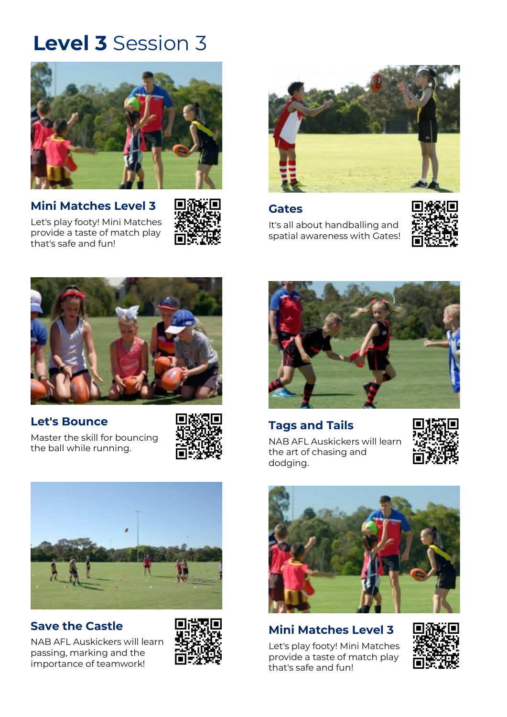

**[Mini Matches Level 3](https://play.afl/auskick/activities/mini-matches-level-3?week=3&level=3)** [Let's play footy! Mini Matches](https://play.afl/auskick/activities/mini-matches-level-3?week=3&level=3)  provide a [taste of match play](https://play.afl/auskick/activities/mini-matches-level-3?week=3&level=3)  that's [safe and fun!](https://play.afl/auskick/activities/mini-matches-level-3?week=3&level=3)





#### **[Gates](https://play.afl/auskick/activities/gates?week=3&level=3)**

[It's all about handballing and](https://play.afl/auskick/activities/gates?week=3&level=3)  [spatial awareness with Gates!](https://play.afl/auskick/activities/gates?week=3&level=3)





#### **[Let's Bounce](https://play.afl/auskick/activities/lets-bounce?week=3&level=3)**

[Master the skill for bouncing](https://play.afl/auskick/activities/lets-bounce?week=3&level=3)  [the ball while running.](https://play.afl/auskick/activities/lets-bounce?week=3&level=3)





### **[Save the Castle](https://play.afl/auskick/activities/save-castle?week=3&level=3)**

[NAB AFL Auskickers will learn](https://play.afl/auskick/activities/save-castle?week=3&level=3)  [passing, marking and the](https://play.afl/auskick/activities/save-castle?week=3&level=3)  [importance of teamwork!](https://play.afl/auskick/activities/save-castle?week=3&level=3)





### **[Tags and Tails](https://play.afl/auskick/activities/tags-and-tails?week=3&level=3)**

[NAB AFL Auskickers will learn](https://play.afl/auskick/activities/tags-and-tails?week=3&level=3)  [the art of chasing and](https://play.afl/auskick/activities/tags-and-tails?week=3&level=3)  [dodging.](https://play.afl/auskick/activities/tags-and-tails?week=3&level=3)





### **[Mini Matches Level 3](https://play.afl/auskick/activities/mini-matches-level-3?week=3&level=3)**

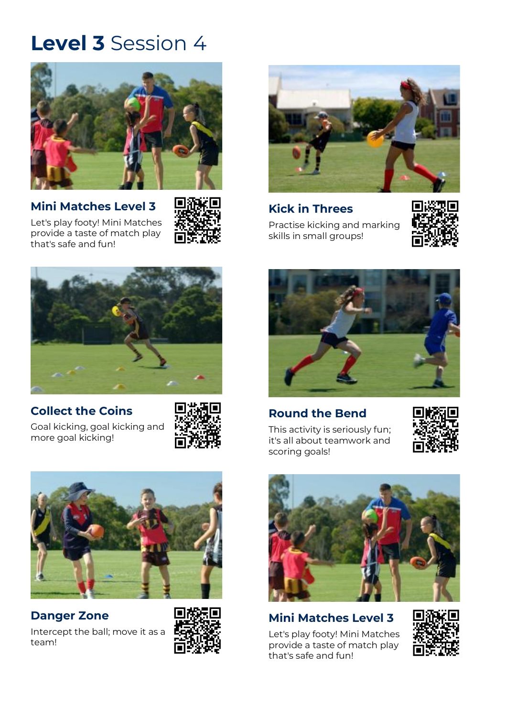

**[Mini Matches Level 3](https://play.afl/auskick/activities/mini-matches-level-3?week=4&level=3)**



[Let's play footy! Mini Matches](https://play.afl/auskick/activities/mini-matches-level-3?week=4&level=3)  provide a [taste of match play](https://play.afl/auskick/activities/mini-matches-level-3?week=4&level=3)  that's [safe and fun!](https://play.afl/auskick/activities/mini-matches-level-3?week=4&level=3)



#### **[Collect the Coins](https://play.afl/auskick/activities/collect-coins?week=4&level=3)**

[Goal kicking, goal kicking and](https://play.afl/auskick/activities/collect-coins?week=4&level=3)  [more goal kicking!](https://play.afl/auskick/activities/collect-coins?week=4&level=3)





**[Danger Zone](https://play.afl/auskick/activities/danger-zone?week=4&level=3)** [Intercept the ball; move it as a](https://play.afl/auskick/activities/danger-zone?week=4&level=3)  [team!](https://play.afl/auskick/activities/danger-zone?week=4&level=3)





#### **[Kick in Threes](https://play.afl/auskick/activities/kick-threes?week=4&level=3)** [Practise kicking and marking](https://play.afl/auskick/activities/kick-threes?week=4&level=3)  [skills in small groups!](https://play.afl/auskick/activities/kick-threes?week=4&level=3)





#### **[Round the Bend](https://play.afl/auskick/activities/round-bend?week=4&level=3)**

[This activity is seriously fun;](https://play.afl/auskick/activities/round-bend?week=4&level=3)  [it's all about teamwork and](https://play.afl/auskick/activities/round-bend?week=4&level=3)  [scoring goals!](https://play.afl/auskick/activities/round-bend?week=4&level=3)





#### **Mini [Matches Level 3](https://play.afl/auskick/activities/mini-matches-level-3?week=4&level=3)**

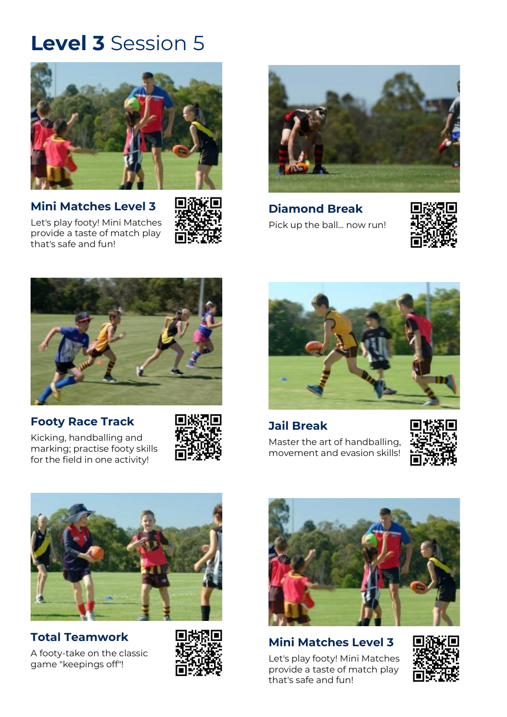

**[Mini Matches Level 3](https://play.afl/auskick/activities/mini-matches-level-3?week=5&level=3)** [Let's play footy! Mini Matches](https://play.afl/auskick/activities/mini-matches-level-3?week=5&level=3)  provide a [taste of match play](https://play.afl/auskick/activities/mini-matches-level-3?week=5&level=3) 

that's [safe and fun!](https://play.afl/auskick/activities/mini-matches-level-3?week=5&level=3)





**[Diamond Break](https://play.afl/auskick/activities/diamond-break?week=5&level=3)** [Pick up the ball... now run!](https://play.afl/auskick/activities/diamond-break?week=5&level=3)





#### **[Footy Race Track](https://play.afl/auskick/activities/footy-race-track?week=5&level=3)**

[Kicking, handballing and](https://play.afl/auskick/activities/footy-race-track?week=5&level=3)  [marking; practise footy skills](https://play.afl/auskick/activities/footy-race-track?week=5&level=3)  [for the field in one activity!](https://play.afl/auskick/activities/footy-race-track?week=5&level=3)





**[Jail Break](https://play.afl/auskick/activities/jail-break?week=5&level=3)** [Master the art of handballing,](https://play.afl/auskick/activities/jail-break?week=5&level=3)  [movement and evasion skills!](https://play.afl/auskick/activities/jail-break?week=5&level=3)





#### **[Total Teamwork](https://play.afl/auskick/activities/total-teamwork?week=5&level=3)** [A footy-take on the classic](https://play.afl/auskick/activities/total-teamwork?week=5&level=3)  [game "keepings off"!](https://play.afl/auskick/activities/total-teamwork?week=5&level=3)





#### **[Mini Matches Level 3](https://play.afl/auskick/activities/mini-matches-level-3?week=5&level=3)**

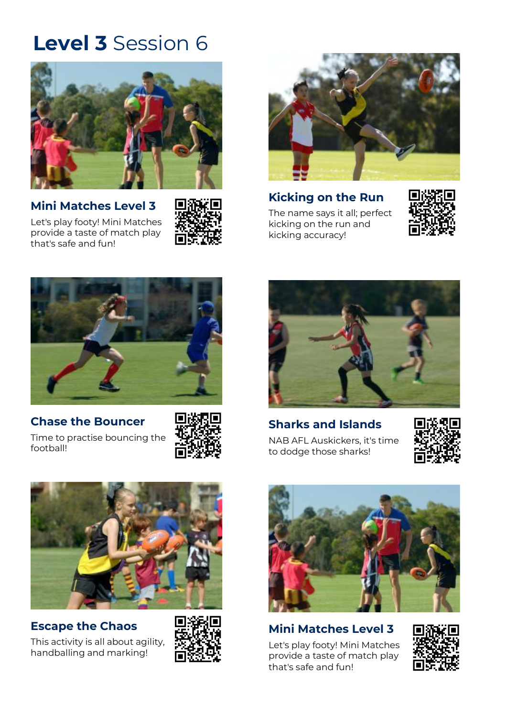

**[Mini Matches Level 3](https://play.afl/auskick/activities/mini-matches-level-3?week=6&level=3)** [Let's play footy! Mini Matches](https://play.afl/auskick/activities/mini-matches-level-3?week=6&level=3)  provide a [taste of match play](https://play.afl/auskick/activities/mini-matches-level-3?week=6&level=3)  that's [safe and fun!](https://play.afl/auskick/activities/mini-matches-level-3?week=6&level=3)





**[Kicking on the Run](https://play.afl/auskick/activities/kicking-run?week=6&level=3)**

[The name says it all; perfect](https://play.afl/auskick/activities/kicking-run?week=6&level=3)  [kicking on the run and](https://play.afl/auskick/activities/kicking-run?week=6&level=3)  [kicking accuracy!](https://play.afl/auskick/activities/kicking-run?week=6&level=3)





### **[Chase the Bouncer](https://play.afl/auskick/activities/chase-bouncer?week=6&level=3)**

[Time to practise bouncing the](https://play.afl/auskick/activities/chase-bouncer?week=6&level=3)  [football!](https://play.afl/auskick/activities/chase-bouncer?week=6&level=3)





**[Sharks and Islands](https://play.afl/auskick/activities/sharks-and-islands?week=6&level=3)** [NAB AFL Auskickers, it's time](https://play.afl/auskick/activities/sharks-and-islands?week=6&level=3)  [to dodge those sharks!](https://play.afl/auskick/activities/sharks-and-islands?week=6&level=3)





#### **[Escape the Chaos](https://play.afl/auskick/activities/escape-chaos?week=6&level=3)**

[This activity is all about agility,](https://play.afl/auskick/activities/escape-chaos?week=6&level=3)  [handballing and marking!](https://play.afl/auskick/activities/escape-chaos?week=6&level=3)





### **[Mini Matches Level 3](https://play.afl/auskick/activities/mini-matches-level-3?week=6&level=3)**

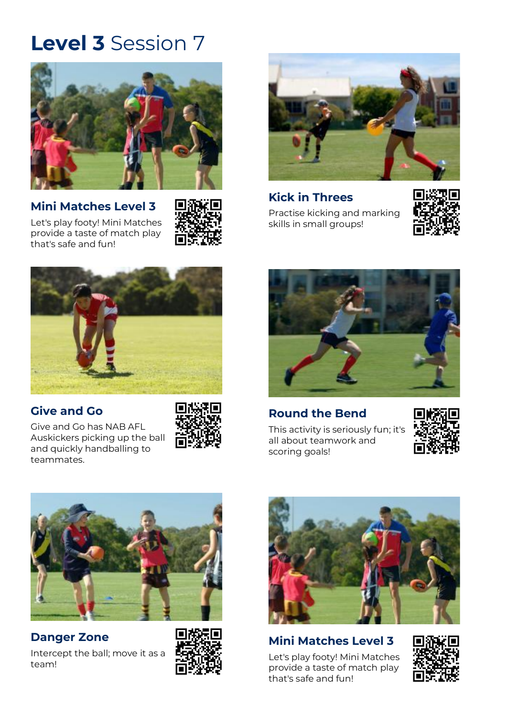

**[Mini Matches Level 3](https://play.afl/auskick/activities/mini-matches-level-3?week=7&level=3)** [Let's play footy! Mini Matches](https://play.afl/auskick/activities/mini-matches-level-3?week=7&level=3) 

provide a [taste of match](https://play.afl/auskick/activities/mini-matches-level-3?week=7&level=3) play

that's [safe and fun!](https://play.afl/auskick/activities/mini-matches-level-3?week=7&level=3)





**Kick [in Threes](https://play.afl/auskick/activities/kick-threes?week=7&level=3)**

[Practise kicking and marking](https://play.afl/auskick/activities/kick-threes?week=7&level=3)  [skills in small groups!](https://play.afl/auskick/activities/kick-threes?week=7&level=3)





#### **[Give and Go](https://play.afl/auskick/activities/give-and-go?week=7&level=3)**

[Give and Go has NAB AFL](https://play.afl/auskick/activities/give-and-go?week=7&level=3)  [Auskickers picking up the ball](https://play.afl/auskick/activities/give-and-go?week=7&level=3)  [and quickly handballing to](https://play.afl/auskick/activities/give-and-go?week=7&level=3)  [teammates.](https://play.afl/auskick/activities/give-and-go?week=7&level=3)





**[Round the Bend](https://play.afl/auskick/activities/round-bend?week=7&level=3)**

[This activity is seriously fun; it's](https://play.afl/auskick/activities/round-bend?week=7&level=3)  [all about teamwork and](https://play.afl/auskick/activities/round-bend?week=7&level=3)  [scoring goals!](https://play.afl/auskick/activities/round-bend?week=7&level=3)





### **[Danger Zone](https://play.afl/auskick/activities/danger-zone?week=7&level=3)**

[Intercept the ball; move it as a](https://play.afl/auskick/activities/danger-zone?week=7&level=3)  [team!](https://play.afl/auskick/activities/danger-zone?week=7&level=3)





#### **[Mini Matches Level 3](https://play.afl/auskick/activities/mini-matches-level-3?week=7&level=3)**

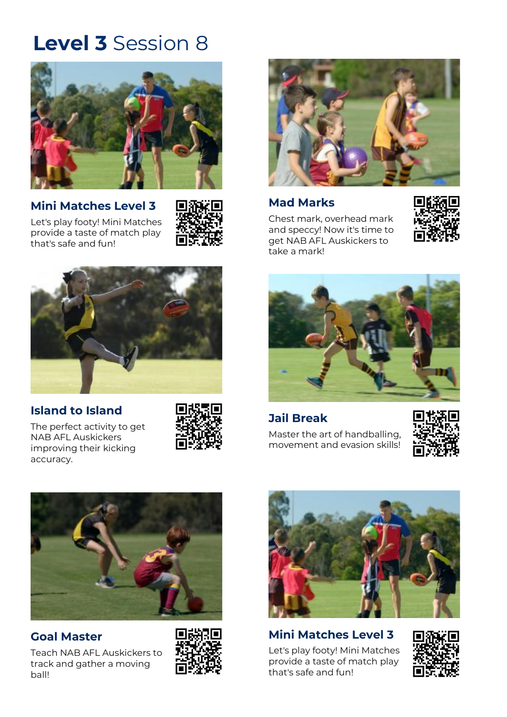

**[Mini Matches Level 3](https://play.afl/auskick/activities/mini-matches-level-3?week=8&level=3)** [Let's play footy! Mini Matches](https://play.afl/auskick/activities/mini-matches-level-3?week=8&level=3)  provide a [taste of match play](https://play.afl/auskick/activities/mini-matches-level-3?week=8&level=3)  that's [safe and fun!](https://play.afl/auskick/activities/mini-matches-level-3?week=8&level=3)





#### **[Island to Island](https://play.afl/auskick/activities/island-island?week=8&level=3)**

[The perfect activity to get](https://play.afl/auskick/activities/island-island?week=8&level=3)  [NAB AFL Auskickers](https://play.afl/auskick/activities/island-island?week=8&level=3)  [improving their kicking](https://play.afl/auskick/activities/island-island?week=8&level=3)  [accuracy.](https://play.afl/auskick/activities/island-island?week=8&level=3)





#### **[Mad Marks](https://play.afl/auskick/activities/mad-marks?week=8&level=3)**

[Chest mark, overhead mark](https://play.afl/auskick/activities/mad-marks?week=8&level=3)  [and speccy! Now it's time to](https://play.afl/auskick/activities/mad-marks?week=8&level=3)  [get NAB AFL Auskickers to](https://play.afl/auskick/activities/mad-marks?week=8&level=3)  [take a mark!](https://play.afl/auskick/activities/mad-marks?week=8&level=3)





#### **[Jail Break](https://play.afl/auskick/activities/jail-break?week=8&level=3)**

[Master the art of handballing,](https://play.afl/auskick/activities/jail-break?week=8&level=3)  [movement and evasion skills!](https://play.afl/auskick/activities/jail-break?week=8&level=3)





#### **Goal [Master](https://play.afl/auskick/activities/goal-master-0?week=8&level=3)**

[Teach NAB AFL Auskickers to](https://play.afl/auskick/activities/goal-master-0?week=8&level=3)  [track and gather a moving](https://play.afl/auskick/activities/goal-master-0?week=8&level=3)  [ball!](https://play.afl/auskick/activities/goal-master-0?week=8&level=3)





### **[Mini Matches Level 3](https://play.afl/auskick/activities/mini-matches-level-3?week=8&level=3)** [Let's play footy! Mini Matches](https://play.afl/auskick/activities/mini-matches-level-3?week=8&level=3)

provide a [taste of match play](https://play.afl/auskick/activities/mini-matches-level-3?week=8&level=3)  that's [safe and fun!](https://play.afl/auskick/activities/mini-matches-level-3?week=8&level=3)

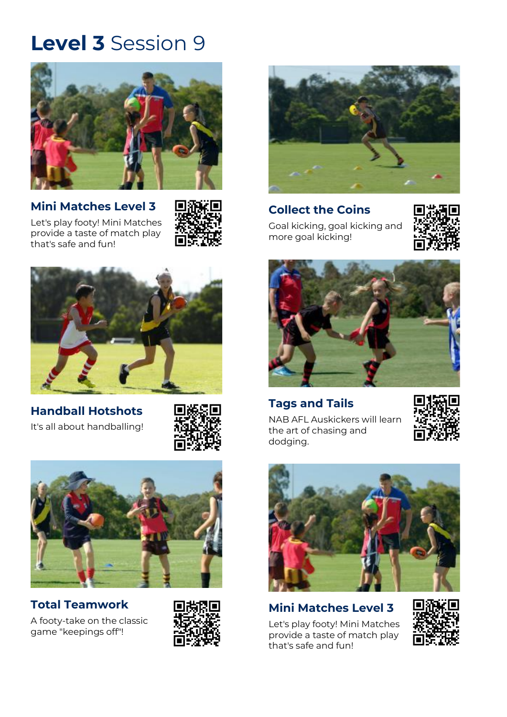

### **[Mini Matches Level 3](https://play.afl/auskick/activities/mini-matches-level-3?week=9&level=3)**







**[Handball Hotshots](https://play.afl/auskick/activities/handball-hotshots?week=9&level=3)** [It's all about handballing!](https://play.afl/auskick/activities/handball-hotshots?week=9&level=3)

![](_page_8_Picture_7.jpeg)

![](_page_8_Picture_8.jpeg)

#### **[Total Teamwork](https://play.afl/auskick/activities/total-teamwork?week=9&level=3)**

[A footy-take on the classic](https://play.afl/auskick/activities/total-teamwork?week=9&level=3)  [game "keepings off"!](https://play.afl/auskick/activities/total-teamwork?week=9&level=3)

![](_page_8_Picture_11.jpeg)

![](_page_8_Picture_12.jpeg)

#### **[Collect the Coins](https://play.afl/auskick/activities/collect-coins?week=9&level=3)** [Goal kicking, goal kicking and](https://play.afl/auskick/activities/collect-coins?week=9&level=3)  [more goal kicking!](https://play.afl/auskick/activities/collect-coins?week=9&level=3)

![](_page_8_Picture_14.jpeg)

![](_page_8_Picture_15.jpeg)

#### **[Tags and Tails](https://play.afl/auskick/activities/tags-and-tails?week=9&level=3)**

![](_page_8_Picture_17.jpeg)

[NAB AFL Auskickers will learn](https://play.afl/auskick/activities/tags-and-tails?week=9&level=3)  [the art of chasing and](https://play.afl/auskick/activities/tags-and-tails?week=9&level=3)  [dodging.](https://play.afl/auskick/activities/tags-and-tails?week=9&level=3)

![](_page_8_Picture_19.jpeg)

### **[Mini Matches Level 3](https://play.afl/auskick/activities/mini-matches-level-3?week=9&level=3)**

![](_page_8_Picture_22.jpeg)